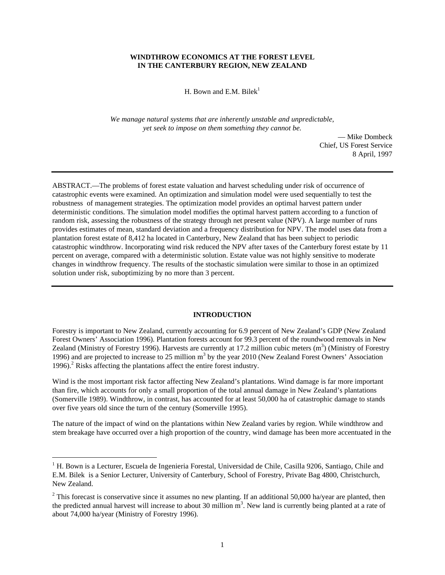## **WINDTHROW ECONOMICS AT THE FOREST LEVEL IN THE CANTERBURY REGION, NEW ZEALAND**

H. Bown and E.M. Bilek<sup>1</sup>

*We manage natural systems that are inherently unstable and unpredictable, yet seek to impose on them something they cannot be.*

> — Mike Dombeck Chief, US Forest Service 8 April, 1997

ABSTRACT.—The problems of forest estate valuation and harvest scheduling under risk of occurrence of catastrophic events were examined. An optimization and simulation model were used sequentially to test the robustness of management strategies. The optimization model provides an optimal harvest pattern under deterministic conditions. The simulation model modifies the optimal harvest pattern according to a function of random risk, assessing the robustness of the strategy through net present value (NPV). A large number of runs provides estimates of mean, standard deviation and a frequency distribution for NPV. The model uses data from a plantation forest estate of 8,412 ha located in Canterbury, New Zealand that has been subject to periodic catastrophic windthrow. Incorporating wind risk reduced the NPV after taxes of the Canterbury forest estate by 11 percent on average, compared with a deterministic solution. Estate value was not highly sensitive to moderate changes in windthrow frequency. The results of the stochastic simulation were similar to those in an optimized solution under risk, suboptimizing by no more than 3 percent.

### **INTRODUCTION**

Forestry is important to New Zealand, currently accounting for 6.9 percent of New Zealand's GDP (New Zealand Forest Owners' Association 1996). Plantation forests account for 99.3 percent of the roundwood removals in New Zealand (Ministry of Forestry 1996). Harvests are currently at 17.2 million cubic meters  $(m^3)$  (Ministry of Forestry 1996) and are projected to increase to 25 million m<sup>3</sup> by the year 2010 (New Zealand Forest Owners' Association 1996). $^2$  Risks affecting the plantations affect the entire forest industry.

Wind is the most important risk factor affecting New Zealand's plantations. Wind damage is far more important than fire, which accounts for only a small proportion of the total annual damage in New Zealand's plantations (Somerville 1989). Windthrow, in contrast, has accounted for at least 50,000 ha of catastrophic damage to stands over five years old since the turn of the century (Somerville 1995).

The nature of the impact of wind on the plantations within New Zealand varies by region. While windthrow and stem breakage have occurred over a high proportion of the country, wind damage has been more accentuated in the

<u>.</u>

<sup>&</sup>lt;sup>1</sup> H. Bown is a Lecturer, Escuela de Ingenieria Forestal, Universidad de Chile, Casilla 9206, Santiago, Chile and E.M. Bilek is a Senior Lecturer, University of Canterbury, School of Forestry, Private Bag 4800, Christchurch, New Zealand.

<sup>&</sup>lt;sup>2</sup> This forecast is conservative since it assumes no new planting. If an additional 50,000 ha/year are planted, then the predicted annual harvest will increase to about 30 million  $m<sup>3</sup>$ . New land is currently being planted at a rate of about 74,000 ha/year (Ministry of Forestry 1996).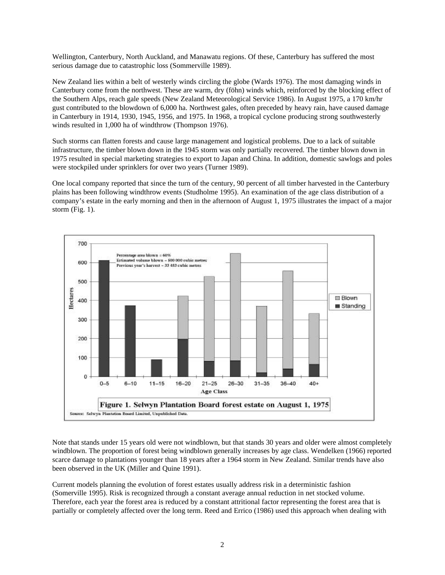Wellington, Canterbury, North Auckland, and Manawatu regions. Of these, Canterbury has suffered the most serious damage due to catastrophic loss (Sommerville 1989).

New Zealand lies within a belt of westerly winds circling the globe (Wards 1976). The most damaging winds in Canterbury come from the northwest. These are warm, dry (föhn) winds which, reinforced by the blocking effect of the Southern Alps, reach gale speeds (New Zealand Meteorological Service 1986). In August 1975, a 170 km/hr gust contributed to the blowdown of 6,000 ha. Northwest gales, often preceded by heavy rain, have caused damage in Canterbury in 1914, 1930, 1945, 1956, and 1975. In 1968, a tropical cyclone producing strong southwesterly winds resulted in 1,000 ha of windthrow (Thompson 1976).

Such storms can flatten forests and cause large management and logistical problems. Due to a lack of suitable infrastructure, the timber blown down in the 1945 storm was only partially recovered. The timber blown down in 1975 resulted in special marketing strategies to export to Japan and China. In addition, domestic sawlogs and poles were stockpiled under sprinklers for over two years (Turner 1989).

One local company reported that since the turn of the century, 90 percent of all timber harvested in the Canterbury plains has been following windthrow events (Studholme 1995). An examination of the age class distribution of a company's estate in the early morning and then in the afternoon of August 1, 1975 illustrates the impact of a major storm (Fig. 1).



Note that stands under 15 years old were not windblown, but that stands 30 years and older were almost completely windblown. The proportion of forest being windblown generally increases by age class. Wendelken (1966) reported scarce damage to plantations younger than 18 years after a 1964 storm in New Zealand. Similar trends have also been observed in the UK (Miller and Quine 1991).

Current models planning the evolution of forest estates usually address risk in a deterministic fashion (Somerville 1995). Risk is recognized through a constant average annual reduction in net stocked volume. Therefore, each year the forest area is reduced by a constant attritional factor representing the forest area that is partially or completely affected over the long term. Reed and Errico (1986) used this approach when dealing with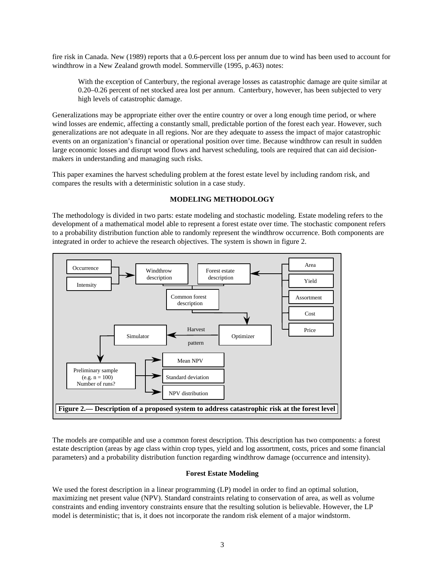fire risk in Canada. New (1989) reports that a 0.6-percent loss per annum due to wind has been used to account for windthrow in a New Zealand growth model. Sommerville (1995, p.463) notes:

With the exception of Canterbury, the regional average losses as catastrophic damage are quite similar at 0.20–0.26 percent of net stocked area lost per annum. Canterbury, however, has been subjected to very high levels of catastrophic damage.

Generalizations may be appropriate either over the entire country or over a long enough time period, or where wind losses are endemic, affecting a constantly small, predictable portion of the forest each year. However, such generalizations are not adequate in all regions. Nor are they adequate to assess the impact of major catastrophic events on an organization's financial or operational position over time. Because windthrow can result in sudden large economic losses and disrupt wood flows and harvest scheduling, tools are required that can aid decisionmakers in understanding and managing such risks.

This paper examines the harvest scheduling problem at the forest estate level by including random risk, and compares the results with a deterministic solution in a case study.

## **MODELING METHODOLOGY**

The methodology is divided in two parts: estate modeling and stochastic modeling. Estate modeling refers to the development of a mathematical model able to represent a forest estate over time. The stochastic component refers to a probability distribution function able to randomly represent the windthrow occurrence. Both components are integrated in order to achieve the research objectives. The system is shown in figure 2.



The models are compatible and use a common forest description. This description has two components: a forest estate description (areas by age class within crop types, yield and log assortment, costs, prices and some financial parameters) and a probability distribution function regarding windthrow damage (occurrence and intensity).

## **Forest Estate Modeling**

We used the forest description in a linear programming (LP) model in order to find an optimal solution, maximizing net present value (NPV). Standard constraints relating to conservation of area, as well as volume constraints and ending inventory constraints ensure that the resulting solution is believable. However, the LP model is deterministic; that is, it does not incorporate the random risk element of a major windstorm.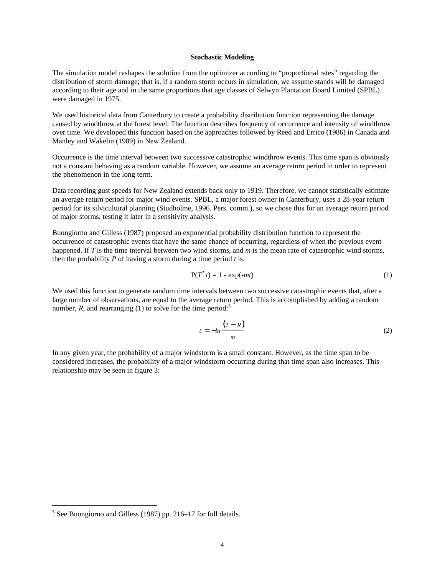#### **Stochastic Modeling**

The simulation model reshapes the solution from the optimizer according to "proportional rates" regarding the distribution of storm damage; that is, if a random storm occurs in simulation, we assume stands will be damaged according to their age and in the same proportions that age classes of Selwyn Plantation Board Limited (SPBL) were damaged in 1975.

We used historical data from Canterbury to create a probability distribution function representing the damage caused by windthrow at the forest level. The function describes frequency of occurrence and intensity of windthrow over time. We developed this function based on the approaches followed by Reed and Errico (1986) in Canada and Manley and Wakelin (1989) in New Zealand.

Occurrence is the time interval between two successive catastrophic windthrow events. This time span is obviously not a constant behaving as a random variable. However, we assume an average return period in order to represent the phenomenon in the long term.

Data recording gust speeds for New Zealand extends back only to 1919. Therefore, we cannot statistically estimate an average return period for major wind events. SPBL, a major forest owner in Canterbury, uses a 28-year return period for its silvicultural planning (Studholme, 1996. Pers. comm.), so we chose this for an average return period of major storms, testing it later in a sensitivity analysis.

Buongiorno and Gilless (1987) proposed an exponential probability distribution function to represent the occurrence of catastrophic events that have the same chance of occurring, regardless of when the previous event happened. If *T* is the time interval between two wind storms, and *m* is the mean rate of catastrophic wind storms, then the probability  $P$  of having a storm during a time period  $t$  is:

$$
P(T^2 t) = 1 - \exp(-mt) \tag{1}
$$

We used this function to generate random time intervals between two successive catastrophic events that, after a large number of observations, are equal to the average return period. This is accomplished by adding a random number,  $R$ , and rearranging (1) to solve for the time period:<sup>3</sup>

$$
t = -\ln \frac{(1 - R)}{m} \tag{2}
$$

In any given year, the probability of a major windstorm is a small constant. However, as the time span to be considered increases, the probability of a major windstorm occurring during that time span also increases. This relationship may be seen in figure 3:

 $\overline{a}$ 

 $3$  See Buongiorno and Gilless (1987) pp. 216–17 for full details.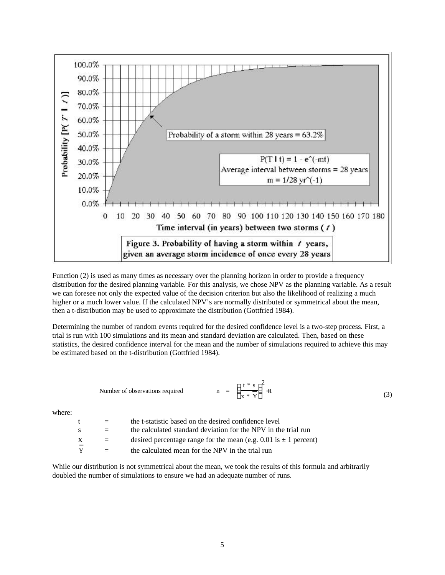

Function (2) is used as many times as necessary over the planning horizon in order to provide a frequency distribution for the desired planning variable. For this analysis, we chose NPV as the planning variable. As a result we can foresee not only the expected value of the decision criterion but also the likelihood of realizing a much higher or a much lower value. If the calculated NPV's are normally distributed or symmetrical about the mean, then a t-distribution may be used to approximate the distribution (Gottfried 1984).

Determining the number of random events required for the desired confidence level is a two-step process. First, a trial is run with 100 simulations and its mean and standard deviation are calculated. Then, based on these statistics, the desired confidence interval for the mean and the number of simulations required to achieve this may be estimated based on the t-distribution (Gottfried 1984).

Number of observations required 
$$
n = \left(\frac{t * s}{x * \overline{Y}}\right)^2 + 1
$$
 (3)

where:

| $^{\dagger}$                  | $=$ | the t-statistic based on the desired confidence level                |
|-------------------------------|-----|----------------------------------------------------------------------|
| -S                            | $=$ | the calculated standard deviation for the NPV in the trial run       |
| X<br>$\overline{\phantom{0}}$ | $=$ | desired percentage range for the mean (e.g. 0.01 is $\pm$ 1 percent) |
| Y                             | $=$ | the calculated mean for the NPV in the trial run                     |

While our distribution is not symmetrical about the mean, we took the results of this formula and arbitrarily doubled the number of simulations to ensure we had an adequate number of runs.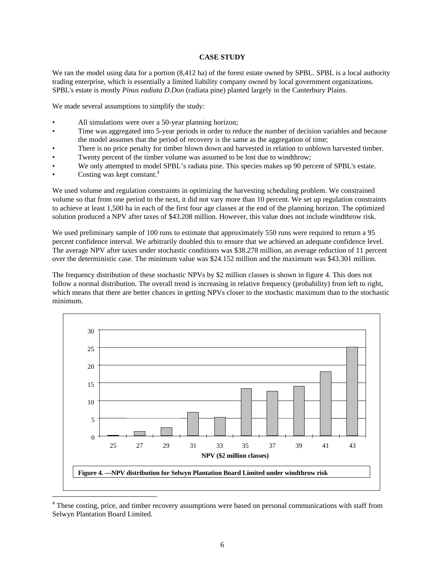### **CASE STUDY**

We ran the model using data for a portion  $(8,412 \text{ ha})$  of the forest estate owned by SPBL. SPBL is a local authority trading enterprise, which is essentially a limited liability company owned by local government organizations. SPBL's estate is mostly *Pinus radiata D.Don* (radiata pine) planted largely in the Canterbury Plains.

We made several assumptions to simplify the study:

- All simulations were over a 50-year planning horizon;
- Time was aggregated into 5-year periods in order to reduce the number of decision variables and because the model assumes that the period of recovery is the same as the aggregation of time;
- There is no price penalty for timber blown down and harvested in relation to unblown harvested timber.
- Twenty percent of the timber volume was assumed to be lost due to windthrow;
- We only attempted to model SPBL's radiata pine. This species makes up 90 percent of SPBL's estate.
- Costing was kept constant.<sup>4</sup>

We used volume and regulation constraints in optimizing the harvesting scheduling problem. We constrained volume so that from one period to the next, it did not vary more than 10 percent. We set up regulation constraints to achieve at least 1,500 ha in each of the first four age classes at the end of the planning horizon. The optimized solution produced a NPV after taxes of \$43.208 million. However, this value does not include windthrow risk.

We used preliminary sample of 100 runs to estimate that approximately 550 runs were required to return a 95 percent confidence interval. We arbitrarily doubled this to ensure that we achieved an adequate confidence level. The average NPV after taxes under stochastic conditions was \$38.278 million, an average reduction of 11 percent over the deterministic case. The minimum value was \$24.152 million and the maximum was \$43.301 million.

The frequency distribution of these stochastic NPVs by \$2 million classes is shown in figure 4. This does not follow a normal distribution. The overall trend is increasing in relative frequency (probability) from left to right, which means that there are better chances in getting NPVs closer to the stochastic maximum than to the stochastic minimum.



<sup>&</sup>lt;sup>4</sup> These costing, price, and timber recovery assumptions were based on personal communications with staff from Selwyn Plantation Board Limited.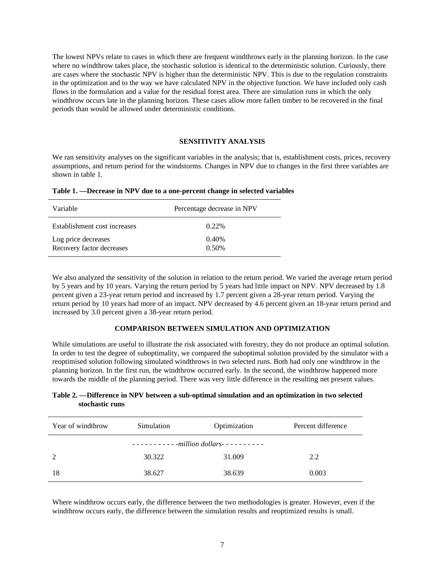The lowest NPVs relate to cases in which there are frequent windthrows early in the planning horizon. In the case where no windthrow takes place, the stochastic solution is identical to the deterministic solution. Curiously, there are cases where the stochastic NPV is higher than the deterministic NPV. This is due to the regulation constraints in the optimization and to the way we have calculated NPV in the objective function. We have included only cash flows in the formulation and a value for the residual forest area. There are simulation runs in which the only windthrow occurs late in the planning horizon. These cases allow more fallen timber to be recovered in the final periods than would be allowed under deterministic conditions.

#### **SENSITIVITY ANALYSIS**

We ran sensitivity analyses on the significant variables in the analysis; that is, establishment costs, prices, recovery assumptions, and return period for the windstorms. Changes in NPV due to changes in the first three variables are shown in table 1.

| Variable                                         | Percentage decrease in NPV |  |
|--------------------------------------------------|----------------------------|--|
| Establishment cost increases                     | 0.22%                      |  |
| Log price decreases<br>Recovery factor decreases | 0.40%<br>0.50%             |  |

**Table 1. —Decrease in NPV due to a one-percent change in selected variables**

We also analyzed the sensitivity of the solution in relation to the return period. We varied the average return period by 5 years and by 10 years. Varying the return period by 5 years had little impact on NPV. NPV decreased by 1.8 percent given a 23-year return period and increased by 1.7 percent given a 28-year return period. Varying the return period by 10 years had more of an impact. NPV decreased by 4.6 percent given an 18-year return period and increased by 3.0 percent given a 38-year return period.

### **COMPARISON BETWEEN SIMULATION AND OPTIMIZATION**

While simulations are useful to illustrate the risk associated with forestry, they do not produce an optimal solution. In order to test the degree of suboptimality, we compared the suboptimal solution provided by the simulator with a reoptimised solution following simulated windthrows in two selected runs. Both had only one windthrow in the planning horizon. In the first run, the windthrow occurred early. In the second, the windthrow happened more towards the middle of the planning period. There was very little difference in the resulting net present values.

## **Table 2. —Difference in NPV between a sub-optimal simulation and an optimization in two selected stochastic runs**

| Year of windthrow | Simulation | Optimization | Percent difference |  |  |  |
|-------------------|------------|--------------|--------------------|--|--|--|
|                   |            |              |                    |  |  |  |
| 2                 | 30.322     | 31.009       | 2.2                |  |  |  |
| 18                | 38.627     | 38.639       | 0.003              |  |  |  |

Where windthrow occurs early, the difference between the two methodologies is greater. However, even if the windthrow occurs early, the difference between the simulation results and reoptimized results is small.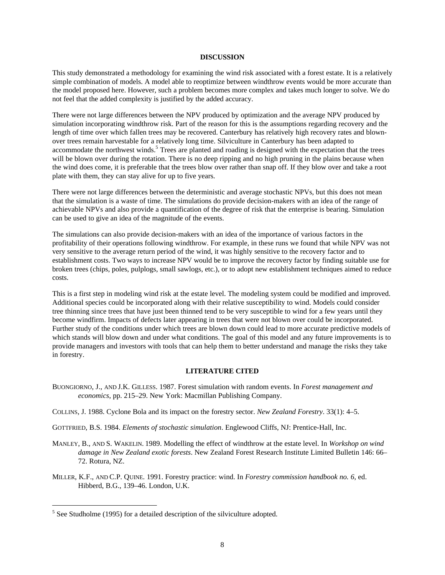#### **DISCUSSION**

This study demonstrated a methodology for examining the wind risk associated with a forest estate. It is a relatively simple combination of models. A model able to reoptimize between windthrow events would be more accurate than the model proposed here. However, such a problem becomes more complex and takes much longer to solve. We do not feel that the added complexity is justified by the added accuracy.

There were not large differences between the NPV produced by optimization and the average NPV produced by simulation incorporating windthrow risk. Part of the reason for this is the assumptions regarding recovery and the length of time over which fallen trees may be recovered. Canterbury has relatively high recovery rates and blownover trees remain harvestable for a relatively long time. Silviculture in Canterbury has been adapted to accommodate the northwest winds.<sup>5</sup> Trees are planted and roading is designed with the expectation that the trees will be blown over during the rotation. There is no deep ripping and no high pruning in the plains because when the wind does come, it is preferable that the trees blow over rather than snap off. If they blow over and take a root plate with them, they can stay alive for up to five years.

There were not large differences between the deterministic and average stochastic NPVs, but this does not mean that the simulation is a waste of time. The simulations do provide decision-makers with an idea of the range of achievable NPVs and also provide a quantification of the degree of risk that the enterprise is bearing. Simulation can be used to give an idea of the magnitude of the events.

The simulations can also provide decision-makers with an idea of the importance of various factors in the profitability of their operations following windthrow. For example, in these runs we found that while NPV was not very sensitive to the average return period of the wind, it was highly sensitive to the recovery factor and to establishment costs. Two ways to increase NPV would be to improve the recovery factor by finding suitable use for broken trees (chips, poles, pulplogs, small sawlogs, etc.), or to adopt new establishment techniques aimed to reduce costs.

This is a first step in modeling wind risk at the estate level. The modeling system could be modified and improved. Additional species could be incorporated along with their relative susceptibility to wind. Models could consider tree thinning since trees that have just been thinned tend to be very susceptible to wind for a few years until they become windfirm. Impacts of defects later appearing in trees that were not blown over could be incorporated. Further study of the conditions under which trees are blown down could lead to more accurate predictive models of which stands will blow down and under what conditions. The goal of this model and any future improvements is to provide managers and investors with tools that can help them to better understand and manage the risks they take in forestry.

# **LITERATURE CITED**

BUONGIORNO, J., AND J.K. GILLESS. 1987. Forest simulation with random events. In *Forest management and economics*, pp. 215–29. New York: Macmillan Publishing Company.

COLLINS, J. 1988. Cyclone Bola and its impact on the forestry sector. *New Zealand Forestry*. 33(1): 4–5.

- GOTTFRIED, B.S. 1984. *Elements of stochastic simulation*. Englewood Cliffs, NJ: Prentice-Hall, Inc.
- MANLEY, B., AND S. WAKELIN. 1989. Modelling the effect of windthrow at the estate level. In *Workshop on wind damage in New Zealand exotic forests*. New Zealand Forest Research Institute Limited Bulletin 146: 66– 72. Rotura, NZ.
- MILLER, K.F., AND C.P. QUINE. 1991. Forestry practice: wind. In *Forestry commission handbook no. 6*, ed. Hibberd, B.G., 139–46. London, U.K.

<u>.</u>

 $<sup>5</sup>$  See Studholme (1995) for a detailed description of the silviculture adopted.</sup>